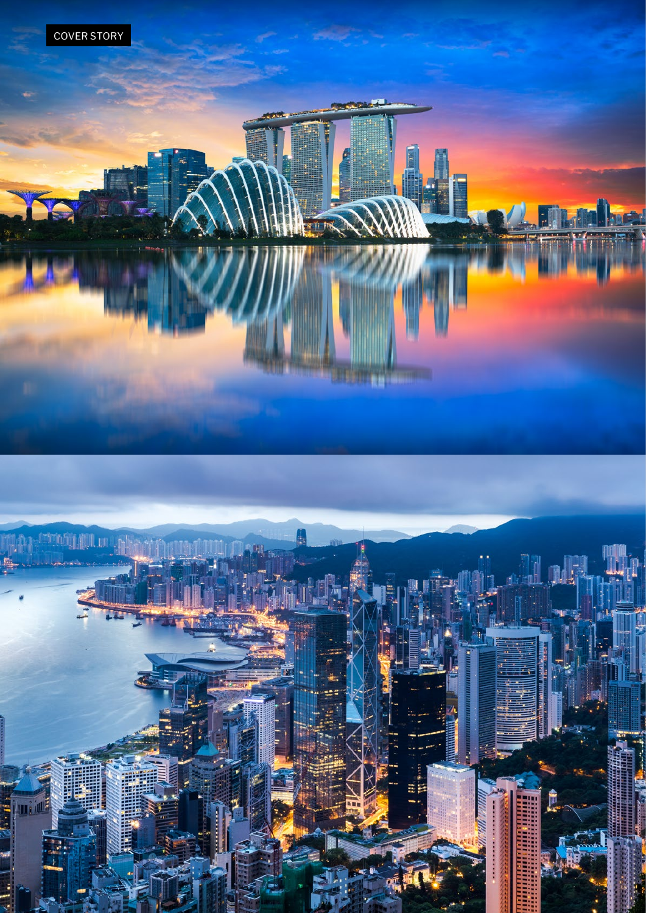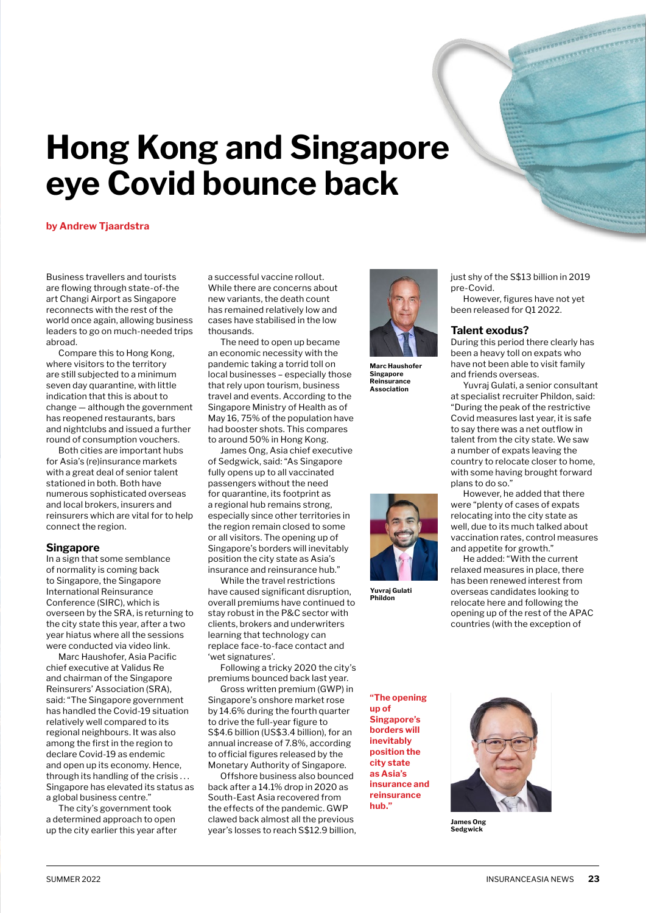# **Hong Kong and Singapore eye Covid bounce back**

#### **by Andrew Tjaardstra**

Business travellers and tourists are flowing through state-of-the art Changi Airport as Singapore reconnects with the rest of the world once again, allowing business leaders to go on much-needed trips abroad.

Compare this to Hong Kong, where visitors to the territory are still subjected to a minimum seven day quarantine, with little indication that this is about to change — although the government has reopened restaurants, bars and nightclubs and issued a further round of consumption vouchers.

Both cities are important hubs for Asia's (re)insurance markets with a great deal of senior talent stationed in both. Both have numerous sophisticated overseas and local brokers, insurers and reinsurers which are vital for to help connect the region.

#### **Singapore**

In a sign that some semblance of normality is coming back to Singapore, the Singapore International Reinsurance Conference (SIRC), which is overseen by the SRA, is returning to the city state this year, after a two year hiatus where all the sessions were conducted via video link.

Marc Haushofer, Asia Pacific chief executive at Validus Re and chairman of the Singapore Reinsurers' Association (SRA), said: "The Singapore government has handled the Covid-19 situation relatively well compared to its regional neighbours. It was also among the first in the region to declare Covid-19 as endemic and open up its economy. Hence, through its handling of the crisis . . . Singapore has elevated its status as a global business centre."

The city's government took a determined approach to open up the city earlier this year after

a successful vaccine rollout. While there are concerns about new variants, the death count has remained relatively low and cases have stabilised in the low thousands.

The need to open up became an economic necessity with the pandemic taking a torrid toll on local businesses – especially those that rely upon tourism, business travel and events. According to the Singapore Ministry of Health as of May 16, 75% of the population have had booster shots. This compares to around 50% in Hong Kong.

James Ong, Asia chief executive of Sedgwick, said: "As Singapore fully opens up to all vaccinated passengers without the need for quarantine, its footprint as a regional hub remains strong, especially since other territories in the region remain closed to some or all visitors. The opening up of Singapore's borders will inevitably position the city state as Asia's insurance and reinsurance hub."

While the travel restrictions have caused significant disruption, overall premiums have continued to stay robust in the P&C sector with clients, brokers and underwriters learning that technology can replace face-to-face contact and 'wet signatures'.

Following a tricky 2020 the city's premiums bounced back last year.

Gross written premium (GWP) in Singapore's onshore market rose by 14.6% during the fourth quarter to drive the full-year figure to S\$4.6 billion (US\$3.4 billion), for an annual increase of 7.8%, according to official figures released by the Monetary Authority of Singapore.

Offshore business also bounced back after a 14.1% drop in 2020 as South-East Asia recovered from the effects of the pandemic. GWP clawed back almost all the previous year's losses to reach S\$12.9 billion,



**Marc Haushofer Singapore Reinsurance Association**



**Yuvraj Gulati Phildon**

just shy of the S\$13 billion in 2019 pre-Covid.

However, figures have not yet been released for Q1 2022.

# **Talent exodus?**

During this period there clearly has been a heavy toll on expats who have not been able to visit family and friends overseas.

Yuvraj Gulati, a senior consultant at specialist recruiter Phildon, said: "During the peak of the restrictive Covid measures last year, it is safe to say there was a net outflow in talent from the city state. We saw a number of expats leaving the country to relocate closer to home, with some having brought forward plans to do so."

However, he added that there were "plenty of cases of expats relocating into the city state as well, due to its much talked about vaccination rates, control measures and appetite for growth."

He added: "With the current relaxed measures in place, there has been renewed interest from overseas candidates looking to relocate here and following the opening up of the rest of the APAC countries (with the exception of

**"The opening up of Singapore's borders will inevitably position the city state as Asia's insurance and reinsurance hub."**



**James Ong Sedgwick**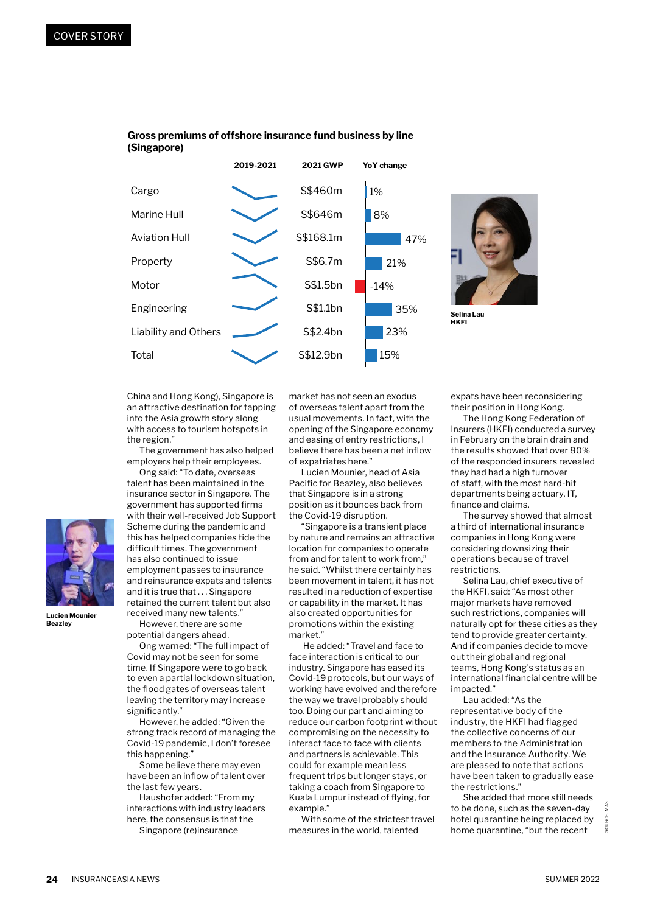

# **Gross premiums of offshore insurance fund business by line (Singapore)**



**Selina Lau HKFI**

China and Hong Kong), Singapore is an attractive destination for tapping into the Asia growth story along with access to tourism hotspots in the region."

The government has also helped employers help their employees.

Ong said: "To date, overseas talent has been maintained in the insurance sector in Singapore. The government has supported firms with their well-received Job Support Scheme during the pandemic and this has helped companies tide the difficult times. The government has also continued to issue employment passes to insurance and reinsurance expats and talents and it is true that . . . Singapore retained the current talent but also received many new talents." However, there are some

Ong warned: "The full impact of Covid may not be seen for some time. If Singapore were to go back to even a partial lockdown situation, the flood gates of overseas talent leaving the territory may increase

However, he added: "Given the strong track record of managing the Covid-19 pandemic, I don't foresee

Some believe there may even have been an inflow of talent over

Haushofer added: "From my interactions with industry leaders here, the consensus is that the Singapore (re)insurance

potential dangers ahead.

significantly."

this happening."

the last few years.

**Lucien Mounier Beazley**

market has not seen an exodus of overseas talent apart from the usual movements. In fact, with the opening of the Singapore economy and easing of entry restrictions, I believe there has been a net inflow of expatriates here."

Lucien Mounier, head of Asia Pacific for Beazley, also believes that Singapore is in a strong position as it bounces back from the Covid-19 disruption.

"Singapore is a transient place by nature and remains an attractive location for companies to operate from and for talent to work from," he said. "Whilst there certainly has been movement in talent, it has not resulted in a reduction of expertise or capability in the market. It has also created opportunities for promotions within the existing market."

 He added: "Travel and face to face interaction is critical to our industry. Singapore has eased its Covid-19 protocols, but our ways of working have evolved and therefore the way we travel probably should too. Doing our part and aiming to reduce our carbon footprint without compromising on the necessity to interact face to face with clients and partners is achievable. This could for example mean less frequent trips but longer stays, or taking a coach from Singapore to Kuala Lumpur instead of flying, for example."

With some of the strictest travel measures in the world, talented

expats have been reconsidering their position in Hong Kong.

The Hong Kong Federation of Insurers (HKFI) conducted a survey in February on the brain drain and the results showed that over 80% of the responded insurers revealed they had had a high turnover of staff, with the most hard-hit departments being actuary, IT, finance and claims.

The survey showed that almost a third of international insurance companies in Hong Kong were considering downsizing their operations because of travel restrictions.

Selina Lau, chief executive of the HKFI, said: "As most other major markets have removed such restrictions, companies will naturally opt for these cities as they tend to provide greater certainty. And if companies decide to move out their global and regional teams, Hong Kong's status as an international financial centre will be impacted."

Lau added: "As the representative body of the industry, the HKFI had flagged the collective concerns of our members to the Administration and the Insurance Authority. We are pleased to note that actions have been taken to gradually ease the restrictions."

She added that more still needs to be done, such as the seven-day hotel quarantine being replaced by home quarantine, "but the recent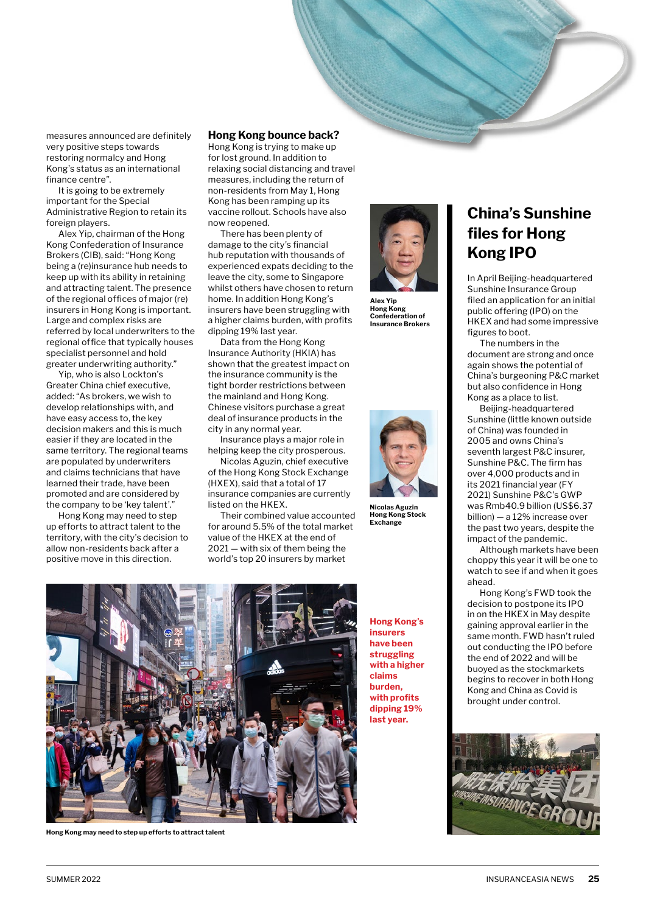measures announced are definitely very positive steps towards restoring normalcy and Hong Kong's status as an international finance centre".

It is going to be extremely important for the Special Administrative Region to retain its foreign players.

Alex Yip, chairman of the Hong Kong Confederation of Insurance Brokers (CIB), said: "Hong Kong being a (re)insurance hub needs to keep up with its ability in retaining and attracting talent. The presence of the regional offices of major (re) insurers in Hong Kong is important. Large and complex risks are referred by local underwriters to the regional office that typically houses specialist personnel and hold greater underwriting authority."

Yip, who is also Lockton's Greater China chief executive, added: "As brokers, we wish to develop relationships with, and have easy access to, the key decision makers and this is much easier if they are located in the same territory. The regional teams are populated by underwriters and claims technicians that have learned their trade, have been promoted and are considered by the company to be 'key talent'."

Hong Kong may need to step up efforts to attract talent to the territory, with the city's decision to allow non-residents back after a positive move in this direction.

### **Hong Kong bounce back?**

Hong Kong is trying to make up for lost ground. In addition to relaxing social distancing and travel measures, including the return of non-residents from May 1, Hong Kong has been ramping up its vaccine rollout. Schools have also now reopened.

There has been plenty of damage to the city's financial hub reputation with thousands of experienced expats deciding to the leave the city, some to Singapore whilst others have chosen to return home. In addition Hong Kong's insurers have been struggling with a higher claims burden, with profits dipping 19% last year.

Data from the Hong Kong Insurance Authority (HKIA) has shown that the greatest impact on the insurance community is the tight border restrictions between the mainland and Hong Kong. Chinese visitors purchase a great deal of insurance products in the city in any normal year.

Insurance plays a major role in helping keep the city prosperous.

Nicolas Aguzin, chief executive of the Hong Kong Stock Exchange (HXEX), said that a total of 17 insurance companies are currently listed on the HKEX.

Their combined value accounted for around 5.5% of the total market value of the HKEX at the end of 2021 — with six of them being the world's top 20 insurers by market



**Alex Yip Hong Kong Confederation of Insurance Brokers**



**Nicolas Aguzin Hong Kong Stock Exchange**



**Hong Kong may need to step up efforts to attract talent**

**Hong Kong's insurers have been struggling with a higher claims burden, with profits dipping 19% last year.**

# **China's Sunshine files for Hong Kong IPO**

In April Beijing-headquartered Sunshine Insurance Group filed an application for an initial public offering (IPO) on the HKEX and had some impressive figures to boot.

The numbers in the document are strong and once again shows the potential of China's burgeoning P&C market but also confidence in Hong Kong as a place to list.

Beijing-headquartered Sunshine (little known outside of China) was founded in 2005 and owns China's seventh largest P&C insurer, Sunshine P&C. The firm has over 4,000 products and in its 2021 financial year (FY 2021) Sunshine P&C's GWP was Rmb40.9 billion (US\$6.37 billion) — a 12% increase over the past two years, despite the impact of the pandemic.

Although markets have been choppy this year it will be one to watch to see if and when it goes ahead.

Hong Kong's FWD took the decision to postpone its IPO in on the HKEX in May despite gaining approval earlier in the same month. FWD hasn't ruled out conducting the IPO before the end of 2022 and will be buoyed as the stockmarkets begins to recover in both Hong Kong and China as Covid is brought under control.